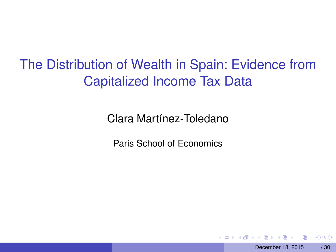The Distribution of Wealth in Spain: Evidence from Capitalized Income Tax Data

Clara Martínez-Toledano

Paris School of Economics

 $\Omega$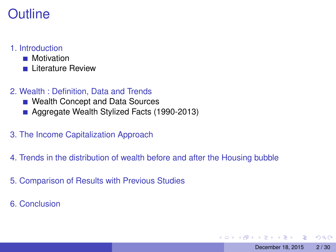#### 1. [Introduction](#page-2-0)

- **[Motivation](#page-3-0)**
- **[Literature Review](#page-5-0)**
- 2. [Wealth : Definition, Data and Trends](#page-6-0)
	- [Wealth Concept and Data Sources](#page-7-0)
	- [Aggregate Wealth Stylized Facts \(1990-2013\)](#page-8-0)
- 3. [The Income Capitalization Approach](#page-12-0)
- 4. [Trends in the distribution of wealth before and after the Housing bubble](#page-17-0)
- 5. [Comparison of Results with Previous Studies](#page-22-0)
- 6. [Conclusion](#page-26-0)

 $\Omega$ 

**REPARE** 

 $\leftarrow$   $\leftarrow$   $\leftarrow$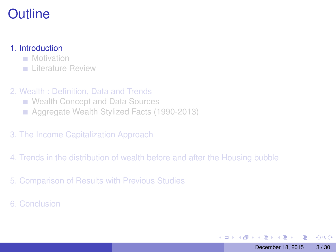#### <span id="page-2-0"></span>1. [Introduction](#page-2-0)

**[Motivation](#page-3-0)** 

**[Literature Review](#page-5-0)** 

- 2. [Wealth : Definition, Data and Trends](#page-6-0)
	- [Wealth Concept and Data Sources](#page-7-0)
	- [Aggregate Wealth Stylized Facts \(1990-2013\)](#page-8-0)
- 3. [The Income Capitalization Approach](#page-12-0)
- 4. [Trends in the distribution of wealth before and after the Housing bubble](#page-17-0)
- 5. [Comparison of Results with Previous Studies](#page-22-0)
- 6. [Conclusion](#page-26-0)

E

 $QQ$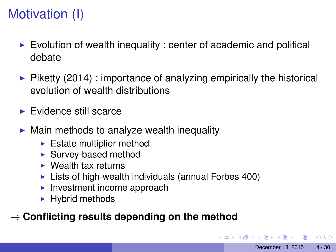# <span id="page-3-0"></span>Motivation (I)

- $\triangleright$  Evolution of wealth inequality : center of academic and political debate
- $\triangleright$  Piketty (2014) : importance of analyzing empirically the historical evolution of wealth distributions
- $\blacktriangleright$  Evidence still scarce
- $\triangleright$  Main methods to analyze wealth inequality
	- $\blacktriangleright$  Estate multiplier method
	- $\blacktriangleright$  Survey-based method
	- $\triangleright$  Wealth tax returns
	- $\blacktriangleright$  Lists of high-wealth individuals (annual Forbes 400)
	- $\blacktriangleright$  Investment income approach
	- $\blacktriangleright$  Hybrid methods

#### → **Conflicting results depending on the method**

 $\Omega$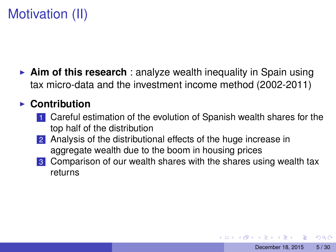# Motivation (II)

**Aim of this research**: analyze wealth inequality in Spain using tax micro-data and the investment income method (2002-2011)

#### ► Contribution

- 1 Careful estimation of the evolution of Spanish wealth shares for the top half of the distribution
- 2 Analysis of the distributional effects of the huge increase in aggregate wealth due to the boom in housing prices
- 3 Comparison of our wealth shares with the shares using wealth tax returns

 $\Omega$ 

**REPARE**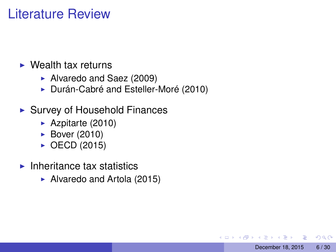#### <span id="page-5-0"></span>Literature Review

#### $\triangleright$  Wealth tax returns

- ▶ Alvaredo and Saez (2009)
- ▶ Durán-Cabré and Esteller-Moré (2010)
- $\blacktriangleright$  Survey of Household Finances
	- $\blacktriangleright$  Azpitarte (2010)
	- $\blacktriangleright$  Bover (2010)
	- $\triangleright$  OECD (2015)
- $\blacktriangleright$  Inheritance tax statistics
	- $\blacktriangleright$  Alvaredo and Artola (2015)

 $\Omega$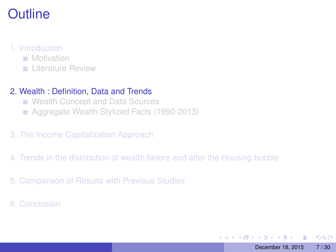#### <span id="page-6-0"></span>1. [Introduction](#page-2-0)

- **[Motivation](#page-3-0)**
- **[Literature Review](#page-5-0)**

#### 2. [Wealth : Definition, Data and Trends](#page-6-0)

- [Wealth Concept and Data Sources](#page-7-0)
- [Aggregate Wealth Stylized Facts \(1990-2013\)](#page-8-0)
- 3. [The Income Capitalization Approach](#page-12-0)
- 4. [Trends in the distribution of wealth before and after the Housing bubble](#page-17-0)
- 5. [Comparison of Results with Previous Studies](#page-22-0)
- 6. [Conclusion](#page-26-0)

 $QQ$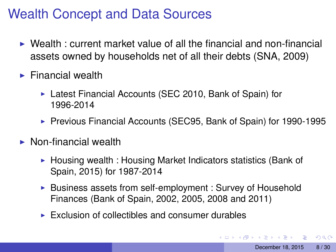### <span id="page-7-0"></span>Wealth Concept and Data Sources

- $\triangleright$  Wealth : current market value of all the financial and non-financial assets owned by households net of all their debts (SNA, 2009)
- $\blacktriangleright$  Financial wealth
	- $\triangleright$  Latest Financial Accounts (SEC 2010, Bank of Spain) for 1996-2014
	- ▶ Previous Financial Accounts (SEC95, Bank of Spain) for 1990-1995
- $\triangleright$  Non-financial wealth
	- $\triangleright$  Housing wealth : Housing Market Indicators statistics (Bank of Spain, 2015) for 1987-2014
	- $\triangleright$  Business assets from self-employment : Survey of Household Finances (Bank of Spain, 2002, 2005, 2008 and 2011)
	- $\triangleright$  Exclusion of collectibles and consumer durables

 $\Omega$ 

**REPAREMENT**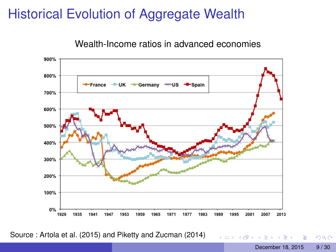### <span id="page-8-0"></span>Historical Evolution of Aggregate Wealth

Wealth-Income ratios in advanced economies



Source : Artola et al. (2015) and Piketty and Zucman (2014)

 $QQ$ 

 $(1, 1)$   $(1, 1)$   $(1, 1)$   $(1, 1)$   $(1, 1)$   $(1, 1)$   $(1, 1)$   $(1, 1)$   $(1, 1)$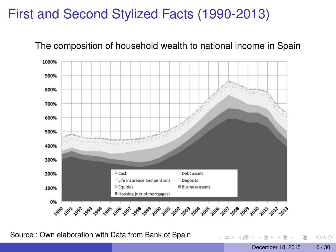### First and Second Stylized Facts (1990-2013)



The composition of household wealth to national income in Spain

Source : Own elaboration with Data from Bank of Spain

Þ

 $\Omega$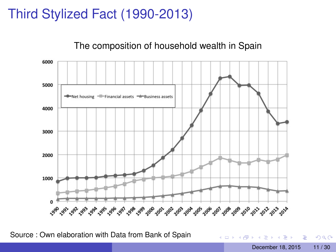### Third Stylized Fact (1990-2013)

#### The composition of household wealth in Spain



Source : Own elaboration with Data from Bank of Spain

December 18, 2015 11/30

 $\equiv$ 

 $QQ$ 

 $(0,1)$   $(0,1)$   $(0,1)$   $(1,1)$   $(1,1)$   $(1,1)$   $(1,1)$   $(1,1)$   $(1,1)$   $(1,1)$   $(1,1)$   $(1,1)$   $(1,1)$   $(1,1)$   $(1,1)$   $(1,1)$   $(1,1)$   $(1,1)$   $(1,1)$   $(1,1)$   $(1,1)$   $(1,1)$   $(1,1)$   $(1,1)$   $(1,1)$   $(1,1)$   $(1,1)$   $(1,1$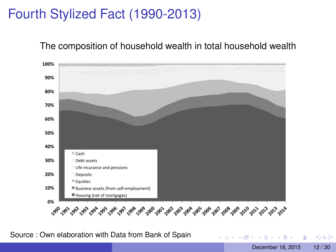### Fourth Stylized Fact (1990-2013)

#### The composition of household wealth in total household wealth



Source : Own elaboration with Data from Bank of Spain

 $\Omega$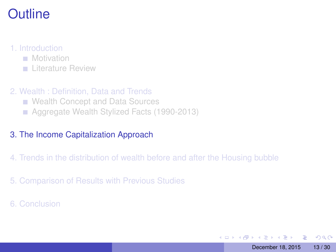#### <span id="page-12-0"></span>1. [Introduction](#page-2-0)

- **[Motivation](#page-3-0)**
- **[Literature Review](#page-5-0)**
- 2. [Wealth : Definition, Data and Trends](#page-6-0)
	- [Wealth Concept and Data Sources](#page-7-0)
	- [Aggregate Wealth Stylized Facts \(1990-2013\)](#page-8-0)

#### 3. [The Income Capitalization Approach](#page-12-0)

- 4. [Trends in the distribution of wealth before and after the Housing bubble](#page-17-0)
- 5. [Comparison of Results with Previous Studies](#page-22-0)
- 6. [Conclusion](#page-26-0)

в

 $QQ$ 

イロト イ押ト イヨト イヨト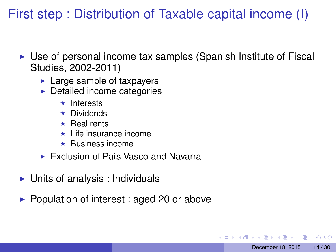First step : Distribution of Taxable capital income (I)

 $\triangleright$  Use of personal income tax samples (Spanish Institute of Fiscal Studies, 2002-2011)

December 18, 2015 14/30

 $\Omega$ 

- $\blacktriangleright$  Large sample of taxpayers
- $\blacktriangleright$  Detailed income categories
	- $\star$  Interests
	- $\star$  Dividends
	- $\star$  Real rents
	- $\star$  Life insurance income
	- $\star$  Business income
- $\triangleright$  Exclusion of País Vasco and Navarra
- $\triangleright$  Units of analysis : Individuals
- $\blacktriangleright$  Population of interest : aged 20 or above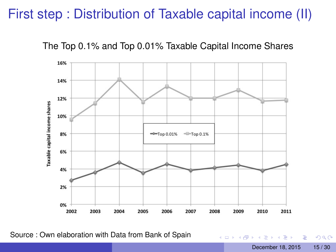#### First step : Distribution of Taxable capital income (II)





Source : Own elaboration with Data from Bank of Spain

舌 December 18, 2015 15/30

Þ

 $QQQ$ 

4 ロ ト ィ *同* ト

 $\sim$ 画像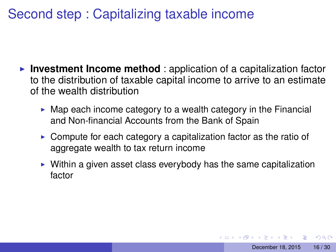### Second step : Capitalizing taxable income

- **Investment Income method** : application of a capitalization factor to the distribution of taxable capital income to arrive to an estimate of the wealth distribution
	- $\triangleright$  Map each income category to a wealth category in the Financial and Non-financial Accounts from the Bank of Spain
	- $\triangleright$  Compute for each category a capitalization factor as the ratio of aggregate wealth to tax return income
	- $\triangleright$  Within a given asset class everybody has the same capitalization factor

 $\Omega$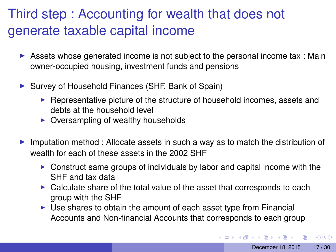## Third step : Accounting for wealth that does not generate taxable capital income

- $\triangleright$  Assets whose generated income is not subject to the personal income tax : Main owner-occupied housing, investment funds and pensions
- $\triangleright$  Survey of Household Finances (SHF, Bank of Spain)
	- $\blacktriangleright$  Representative picture of the structure of household incomes, assets and debts at the household level
	- $\triangleright$  Oversampling of wealthy households
- I Imputation method : Allocate assets in such a way as to match the distribution of wealth for each of these assets in the 2002 SHF
	- $\triangleright$  Construct same groups of individuals by labor and capital income with the SHF and tax data
	- $\triangleright$  Calculate share of the total value of the asset that corresponds to each group with the SHF
	- $\triangleright$  Use shares to obtain the amount of each asset type from Financial Accounts and Non-financial Accounts that corresponds to each group

 $QQ$ 

イロト イ押 トイラト イラト・ラー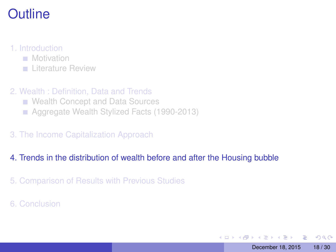#### <span id="page-17-0"></span>1. [Introduction](#page-2-0)

- **[Motivation](#page-3-0)**
- **[Literature Review](#page-5-0)**
- 2. [Wealth : Definition, Data and Trends](#page-6-0)
	- [Wealth Concept and Data Sources](#page-7-0)
	- [Aggregate Wealth Stylized Facts \(1990-2013\)](#page-8-0)
- 3. [The Income Capitalization Approach](#page-12-0)

#### 4. [Trends in the distribution of wealth before and after the Housing bubble](#page-17-0)

- 5. [Comparison of Results with Previous Studies](#page-22-0)
- 6. [Conclusion](#page-26-0)

в

 $QQ$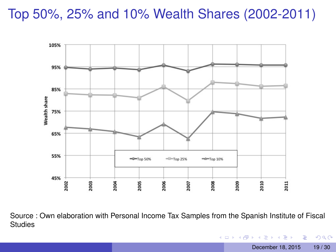#### Top 50%, 25% and 10% Wealth Shares (2002-2011)



Source : Own elaboration with Personal Income Tax Samples from the Spanish Institute of Fiscal **Studies** 

December 18, 2015 19/30

Þ

 $299$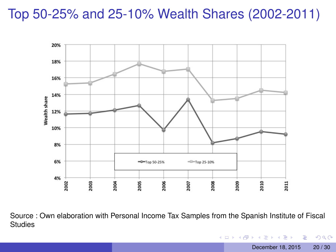#### Top 50-25% and 25-10% Wealth Shares (2002-2011)



Source : Own elaboration with Personal Income Tax Samples from the Spanish Institute of Fiscal **Studies** 

December 18, 2015 20 / 30

÷.

 $299$ 

 $(0,1)$   $(0,1)$   $(0,1)$   $(1,1)$   $(1,1)$   $(1,1)$   $(1,1)$   $(1,1)$   $(1,1)$   $(1,1)$   $(1,1)$   $(1,1)$   $(1,1)$   $(1,1)$   $(1,1)$   $(1,1)$   $(1,1)$   $(1,1)$   $(1,1)$   $(1,1)$   $(1,1)$   $(1,1)$   $(1,1)$   $(1,1)$   $(1,1)$   $(1,1)$   $(1,1)$   $(1,1$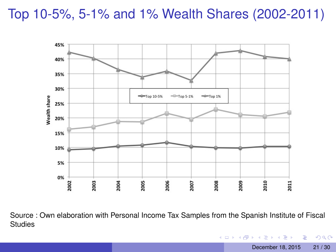Top 10-5%, 5-1% and 1% Wealth Shares (2002-2011)



Source : Own elaboration with Personal Income Tax Samples from the Spanish Institute of Fiscal **Studies** 

December 18, 2015 21 / 30

÷.

 $299$ 

 $(0,1)$   $(0,1)$   $(0,1)$   $(1,1)$   $(1,1)$   $(1,1)$   $(1,1)$   $(1,1)$   $(1,1)$   $(1,1)$   $(1,1)$   $(1,1)$   $(1,1)$   $(1,1)$   $(1,1)$   $(1,1)$   $(1,1)$   $(1,1)$   $(1,1)$   $(1,1)$   $(1,1)$   $(1,1)$   $(1,1)$   $(1,1)$   $(1,1)$   $(1,1)$   $(1,1)$   $(1,1$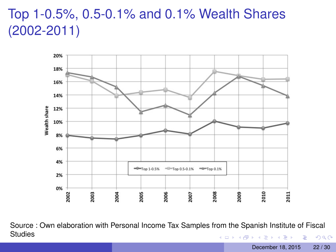### Top 1-0.5%, 0.5-0.1% and 0.1% Wealth Shares (2002-2011)



Source : Own elaboration with Personal Income Tax Samples from the Spanish Institute of Fiscal **Studies**  $(0,1)$   $(0,1)$   $(0,1)$   $(1,1)$   $(1,1)$   $(1,1)$   $(1,1)$   $(1,1)$   $(1,1)$   $(1,1)$   $(1,1)$   $(1,1)$   $(1,1)$   $(1,1)$   $(1,1)$   $(1,1)$   $(1,1)$   $(1,1)$   $(1,1)$   $(1,1)$   $(1,1)$   $(1,1)$   $(1,1)$   $(1,1)$   $(1,1)$   $(1,1)$   $(1,1)$   $(1,1$ Þ  $299$ 

December 18, 2015 22 / 30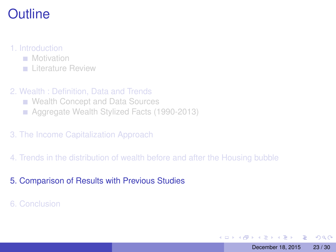#### <span id="page-22-0"></span>1. [Introduction](#page-2-0)

- **[Motivation](#page-3-0)**
- **[Literature Review](#page-5-0)**
- 2. [Wealth : Definition, Data and Trends](#page-6-0)
	- [Wealth Concept and Data Sources](#page-7-0)
	- [Aggregate Wealth Stylized Facts \(1990-2013\)](#page-8-0)
- 3. [The Income Capitalization Approach](#page-12-0)
- 4. [Trends in the distribution of wealth before and after the Housing bubble](#page-17-0)

#### 5. [Comparison of Results with Previous Studies](#page-22-0)

6. [Conclusion](#page-26-0)

в

 $\Omega$ 

イロト イ押ト イヨト イヨト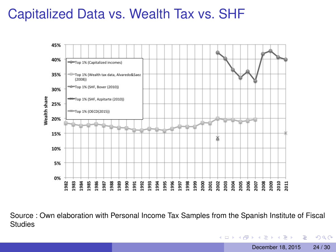#### Capitalized Data vs. Wealth Tax vs. SHF



Source : Own elaboration with Personal Income Tax Samples from the Spanish Institute of Fiscal **Studies** 

December 18, 2015 24 / 30

в

 $QQ$ 

 $(0,1)$   $(0,1)$   $(0,1)$   $(1,1)$   $(1,1)$   $(1,1)$   $(1,1)$   $(1,1)$   $(1,1)$   $(1,1)$   $(1,1)$   $(1,1)$   $(1,1)$   $(1,1)$   $(1,1)$   $(1,1)$   $(1,1)$   $(1,1)$   $(1,1)$   $(1,1)$   $(1,1)$   $(1,1)$   $(1,1)$   $(1,1)$   $(1,1)$   $(1,1)$   $(1,1)$   $(1,1$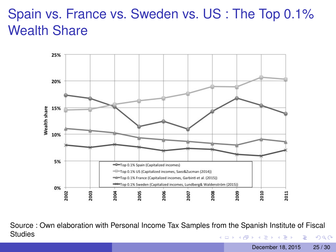### Spain vs. France vs. Sweden vs. US : The Top 0.1% Wealth Share



Source : Own elaboration with Personal Income Tax Samples from the Spanish Institute of Fiscal **Studies** (ロトイ部)→(差)→(差)→ ∍  $QQ$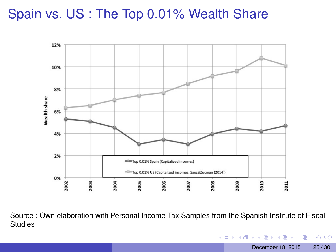### Spain vs. US : The Top 0.01% Wealth Share



Source : Own elaboration with Personal Income Tax Samples from the Spanish Institute of Fiscal **Studies** 

December 18, 2015 26 / 30

в

 $QQ$ 

 $(0,1)$   $(0,1)$   $(0,1)$   $(1,1)$   $(1,1)$   $(1,1)$   $(1,1)$   $(1,1)$   $(1,1)$   $(1,1)$   $(1,1)$   $(1,1)$   $(1,1)$   $(1,1)$   $(1,1)$   $(1,1)$   $(1,1)$   $(1,1)$   $(1,1)$   $(1,1)$   $(1,1)$   $(1,1)$   $(1,1)$   $(1,1)$   $(1,1)$   $(1,1)$   $(1,1)$   $(1,1$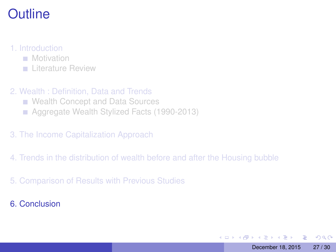#### <span id="page-26-0"></span>1. [Introduction](#page-2-0)

- **[Motivation](#page-3-0)**
- **[Literature Review](#page-5-0)**
- 2. [Wealth : Definition, Data and Trends](#page-6-0)
	- [Wealth Concept and Data Sources](#page-7-0)
	- [Aggregate Wealth Stylized Facts \(1990-2013\)](#page-8-0)
- 3. [The Income Capitalization Approach](#page-12-0)
- 4. [Trends in the distribution of wealth before and after the Housing bubble](#page-17-0)
- 5. [Comparison of Results with Previous Studies](#page-22-0)
- 6. [Conclusion](#page-26-0)

∍

 $\Omega$ 

イロト イ押ト イヨト イヨト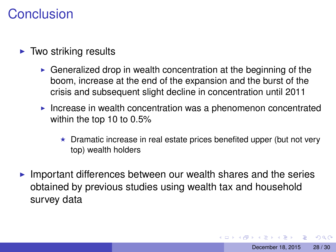#### Conclusion

- $\blacktriangleright$  Two striking results
	- $\triangleright$  Generalized drop in wealth concentration at the beginning of the boom, increase at the end of the expansion and the burst of the crisis and subsequent slight decline in concentration until 2011
	- Increase in wealth concentration was a phenomenon concentrated within the top 10 to 0.5%
		- $\star$  Dramatic increase in real estate prices benefited upper (but not very top) wealth holders
- Important differences between our wealth shares and the series obtained by previous studies using wealth tax and household survey data

 $\Omega$ 

**A BA A BA**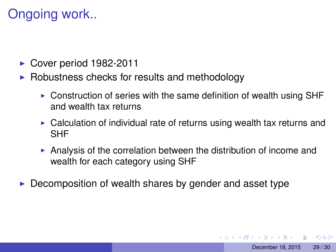### Ongoing work..

- $\triangleright$  Cover period 1982-2011
- $\triangleright$  Robustness checks for results and methodology
	- $\triangleright$  Construction of series with the same definition of wealth using SHF and wealth tax returns
	- $\triangleright$  Calculation of individual rate of returns using wealth tax returns and SHF
	- Analysis of the correlation between the distribution of income and wealth for each category using SHF
- $\triangleright$  Decomposition of wealth shares by gender and asset type

 $\Omega$